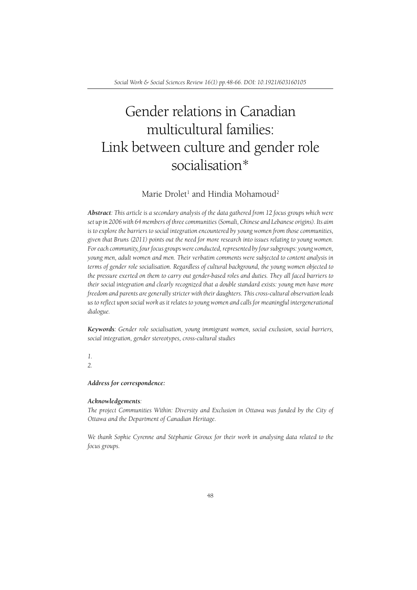# Gender relations in Canadian multicultural families: Link between culture and gender role socialisation\*

## Marie Drolet<sup>1</sup> and Hindia Mohamoud<sup>2</sup>

*Abstract: This article is a secondary analysis of the data gathered from 12 focus groups which were set up in 2006 with 64 members of three communities (Somali, Chinese and Lebanese origins). Its aim is to explore the barriers to social integration encountered by young women from those communities, given that Bruns (2011) points out the need for more research into issues relating to young women. For each community, four focus groups were conducted, represented by four subgroups: young women, young men, adult women and men. Their verbatim comments were subjected to content analysis in terms of gender role socialisation. Regardless of cultural background, the young women objected to the pressure exerted on them to carry out gender-based roles and duties. They all faced barriers to their social integration and clearly recognized that a double standard exists: young men have more freedom and parents are generally stricter with their daughters. This cross-cultural observation leads*  us to reflect upon social work as it relates to young women and calls for meaningful intergenerational *dialogue.*

*Keywords: Gender role socialisation, young immigrant women, social exclusion, social barriers, social integration, gender stereotypes, cross-cultural studies*

#### *1. 2.*

*Address for correspondence:*

#### *Acknowledgements:*

The project Communities Within: Diversity and Exclusion in Ottawa was funded by the City of *Ottawa and the Department of Canadian Heritage.*

*We thank Sophie Cyrenne and Stéphanie Giroux for their work in analysing data related to the focus groups.*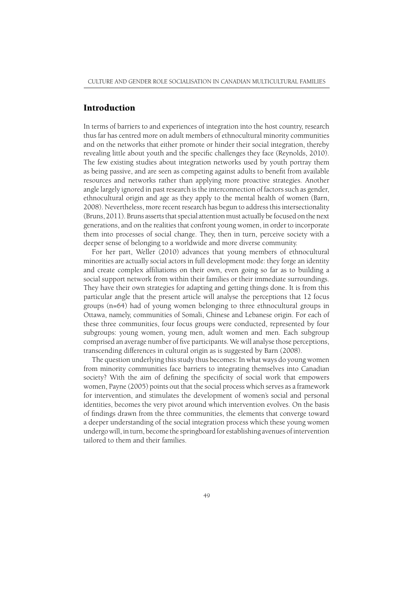#### Introduction

In terms of barriers to and experiences of integration into the host country, research thus far has centred more on adult members of ethnocultural minority communities and on the networks that either promote or hinder their social integration, thereby revealing little about youth and the specific challenges they face (Reynolds, 2010). The few existing studies about integration networks used by youth portray them as being passive, and are seen as competing against adults to benefit from available resources and networks rather than applying more proactive strategies. Another angle largely ignored in past research is the interconnection of factors such as gender, ethnocultural origin and age as they apply to the mental health of women (Barn, 2008). Nevertheless, more recent research has begun to address this intersectionality (Bruns, 2011). Bruns asserts that special attention must actually be focused on the next generations, and on the realities that confront young women, in order to incorporate them into processes of social change. They, then in turn, perceive society with a deeper sense of belonging to a worldwide and more diverse community.

For her part, Weller (2010) advances that young members of ethnocultural minorities are actually social actors in full development mode: they forge an identity and create complex affiliations on their own, even going so far as to building a social support network from within their families or their immediate surroundings. They have their own strategies for adapting and getting things done. It is from this particular angle that the present article will analyse the perceptions that 12 focus groups (n=64) had of young women belonging to three ethnocultural groups in Ottawa, namely, communities of Somali, Chinese and Lebanese origin. For each of these three communities, four focus groups were conducted, represented by four subgroups: young women, young men, adult women and men. Each subgroup comprised an average number of five participants. We will analyse those perceptions, transcending differences in cultural origin as is suggested by Barn (2008).

The question underlying this study thus becomes: In what ways do young women from minority communities face barriers to integrating themselves into Canadian society? With the aim of defining the specificity of social work that empowers women, Payne (2005) points out that the social process which serves as a framework for intervention, and stimulates the development of women's social and personal identities, becomes the very pivot around which intervention evolves. On the basis of findings drawn from the three communities, the elements that converge toward a deeper understanding of the social integration process which these young women undergo will, in turn, become the springboard for establishing avenues of intervention tailored to them and their families.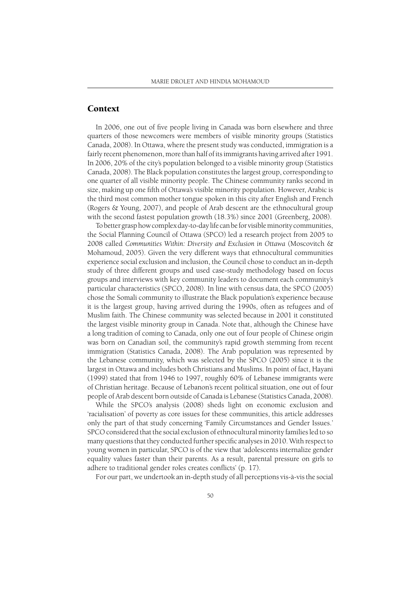## **Context**

In 2006, one out of five people living in Canada was born elsewhere and three quarters of those newcomers were members of visible minority groups (Statistics Canada, 2008). In Ottawa, where the present study was conducted, immigration is a fairly recent phenomenon, more than half of its immigrants having arrived after 1991. In 2006, 20% of the city's population belonged to a visible minority group (Statistics Canada, 2008). The Black population constitutes the largest group, corresponding to one quarter of all visible minority people. The Chinese community ranks second in size, making up one fifth of Ottawa's visible minority population. However, Arabic is the third most common mother tongue spoken in this city after English and French (Rogers & Young, 2007), and people of Arab descent are the ethnocultural group with the second fastest population growth (18.3%) since 2001 (Greenberg, 2008).

To better grasp how complex day-to-day life can be for visible minority communities, the Social Planning Council of Ottawa (SPCO) led a research project from 2005 to 2008 called *Communities Within: Diversity and Exclusion in Ottawa* (Moscovitch & Mohamoud, 2005). Given the very different ways that ethnocultural communities experience social exclusion and inclusion, the Council chose to conduct an in-depth study of three different groups and used case-study methodology based on focus groups and interviews with key community leaders to document each community's particular characteristics (SPCO, 2008). In line with census data, the SPCO (2005) chose the Somali community to illustrate the Black population's experience because it is the largest group, having arrived during the 1990s, often as refugees and of Muslim faith. The Chinese community was selected because in 2001 it constituted the largest visible minority group in Canada. Note that, although the Chinese have a long tradition of coming to Canada, only one out of four people of Chinese origin was born on Canadian soil, the community's rapid growth stemming from recent immigration (Statistics Canada, 2008). The Arab population was represented by the Lebanese community, which was selected by the SPCO (2005) since it is the largest in Ottawa and includes both Christians and Muslims. In point of fact, Hayani (1999) stated that from 1946 to 1997, roughly 60% of Lebanese immigrants were of Christian heritage. Because of Lebanon's recent political situation, one out of four people of Arab descent born outside of Canada is Lebanese (Statistics Canada, 2008).

While the SPCO's analysis (2008) sheds light on economic exclusion and 'racialisation' of poverty as core issues for these communities, this article addresses only the part of that study concerning 'Family Circumstances and Gender Issues.' SPCO considered that the social exclusion of ethnocultural minority families led to so many questions that they conducted further specific analyses in 2010. With respect to young women in particular, SPCO is of the view that 'adolescents internalize gender equality values faster than their parents. As a result, parental pressure on girls to adhere to traditional gender roles creates conflicts' (p. 17).

For our part, we undertook an in-depth study of all perceptions vis-à-vis the social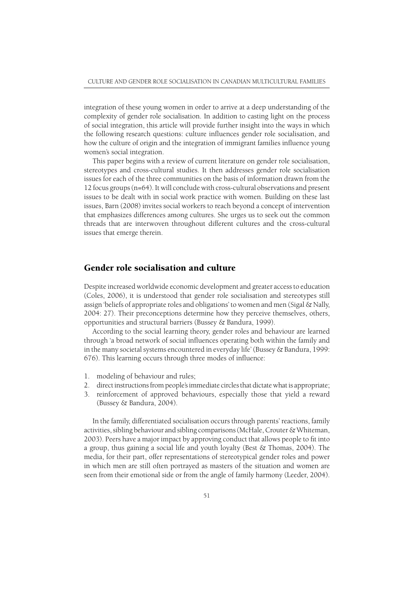integration of these young women in order to arrive at a deep understanding of the complexity of gender role socialisation. In addition to casting light on the process of social integration, this article will provide further insight into the ways in which the following research questions: culture influences gender role socialisation, and how the culture of origin and the integration of immigrant families influence young women's social integration.

This paper begins with a review of current literature on gender role socialisation, stereotypes and cross-cultural studies. It then addresses gender role socialisation issues for each of the three communities on the basis of information drawn from the 12 focus groups (n=64). It will conclude with cross-cultural observations and present issues to be dealt with in social work practice with women. Building on these last issues, Barn (2008) invites social workers to reach beyond a concept of intervention that emphasizes differences among cultures. She urges us to seek out the common threads that are interwoven throughout different cultures and the cross-cultural issues that emerge therein.

# Gender role socialisation and culture

Despite increased worldwide economic development and greater access to education (Coles, 2006), it is understood that gender role socialisation and stereotypes still assign 'beliefs of appropriate roles and obligations' to women and men (Sigal & Nally, 2004: 27). Their preconceptions determine how they perceive themselves, others, opportunities and structural barriers (Bussey & Bandura, 1999).

According to the social learning theory, gender roles and behaviour are learned through 'a broad network of social influences operating both within the family and in the many societal systems encountered in everyday life' (Bussey & Bandura, 1999: 676). This learning occurs through three modes of influence:

- 1. modeling of behaviour and rules;
- 2. direct instructions from people's immediate circles that dictate what is appropriate;
- 3. reinforcement of approved behaviours, especially those that yield a reward (Bussey & Bandura, 2004).

In the family, differentiated socialisation occurs through parents' reactions, family activities, sibling behaviour and sibling comparisons (McHale, Crouter & Whiteman, 2003). Peers have a major impact by approving conduct that allows people to fi t into a group, thus gaining a social life and youth loyalty (Best & Thomas, 2004). The media, for their part, offer representations of stereotypical gender roles and power in which men are still often portrayed as masters of the situation and women are seen from their emotional side or from the angle of family harmony (Leeder, 2004).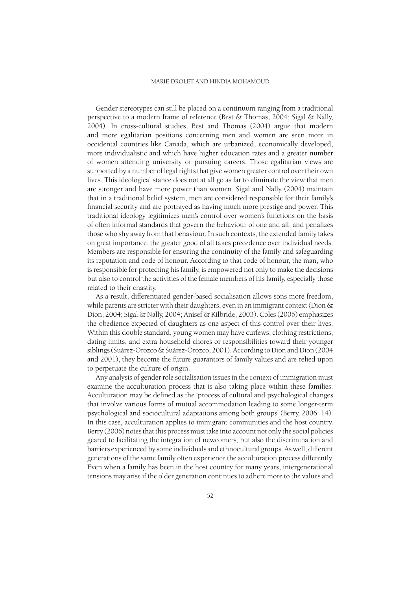Gender stereotypes can still be placed on a continuum ranging from a traditional perspective to a modern frame of reference (Best & Thomas, 2004; Sigal & Nally, 2004). In cross-cultural studies, Best and Thomas (2004) argue that modern and more egalitarian positions concerning men and women are seen more in occidental countries like Canada, which are urbanized, economically developed, more individualistic and which have higher education rates and a greater number of women attending university or pursuing careers. Those egalitarian views are supported by a number of legal rights that give women greater control over their own lives. This ideological stance does not at all go as far to eliminate the view that men are stronger and have more power than women. Sigal and Nally (2004) maintain that in a traditional belief system, men are considered responsible for their family's financial security and are portrayed as having much more prestige and power. This traditional ideology legitimizes men's control over women's functions on the basis of often informal standards that govern the behaviour of one and all, and penalizes those who shy away from that behaviour. In such contexts, the extended family takes on great importance: the greater good of all takes precedence over individual needs. Members are responsible for ensuring the continuity of the family and safeguarding its reputation and code of honour. According to that code of honour, the man, who is responsible for protecting his family, is empowered not only to make the decisions but also to control the activities of the female members of his family, especially those related to their chastity.

As a result, differentiated gender-based socialisation allows sons more freedom, while parents are stricter with their daughters, even in an immigrant context (Dion & Dion, 2004; Sigal & Nally, 2004; Anisef & Kilbride, 2003). Coles (2006) emphasizes the obedience expected of daughters as one aspect of this control over their lives. Within this double standard, young women may have curfews, clothing restrictions, dating limits, and extra household chores or responsibilities toward their younger siblings (Suárez-Orozco & Suárez-Orozco, 2001). According to Dion and Dion (2004 and 2001), they become the future guarantors of family values and are relied upon to perpetuate the culture of origin.

Any analysis of gender role socialisation issues in the context of immigration must examine the acculturation process that is also taking place within these families. Acculturation may be defined as the 'process of cultural and psychological changes that involve various forms of mutual accommodation leading to some longer-term psychological and sociocultural adaptations among both groups' (Berry, 2006: 14). In this case, acculturation applies to immigrant communities and the host country. Berry (2006) notes that this process must take into account not only the social policies geared to facilitating the integration of newcomers, but also the discrimination and barriers experienced by some individuals and ethnocultural groups. As well, different generations of the same family often experience the acculturation process differently. Even when a family has been in the host country for many years, intergenerational tensions may arise if the older generation continues to adhere more to the values and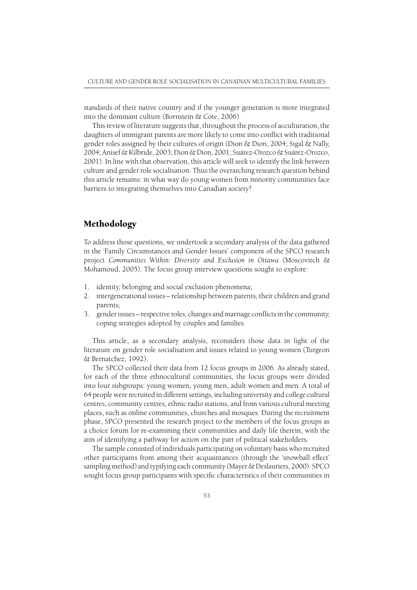standards of their native country and if the younger generation is more integrated into the dominant culture (Bornstein & Cote, 2006).

This review of literature suggests that, throughout the process of acculturation, the daughters of immigrant parents are more likely to come into conflict with traditional gender roles assigned by their cultures of origin (Dion & Dion, 2004; Sigal & Nally, 2004; Anisef & Kilbride, 2003; Dion & Dion, 2001; Suárez-Orozco & Suárez-Orozco, 2001). In line with that observation, this article will seek to identify the link between culture and gender role socialisation. Thus the overarching research question behind this article remains: in what way do young women from minority communities face barriers to integrating themselves into Canadian society?

## Methodology

To address those questions, we undertook a secondary analysis of the data gathered in the 'Family Circumstances and Gender Issues' component of the SPCO research project *Communities Within: Diversity and Exclusion in Ottawa* (Moscovitch & Mohamoud, 2005). The focus group interview questions sought to explore:

- 1. identity, belonging and social exclusion phenomena;
- 2. intergenerational issues relationship between parents, their children and grand parents;
- 3. gender issues respective roles, changes and marriage conflicts in the community, coping strategies adopted by couples and families.

This article, as a secondary analysis, reconsiders those data in light of the literature on gender role socialisation and issues related to young women (Turgeon & Bernatchez, 1992).

The SPCO collected their data from 12 focus groups in 2006. As already stated, for each of the three ethnocultural communities, the focus groups were divided into four subgroups: young women, young men, adult women and men. A total of 64 people were recruited in different settings, including university and college cultural centres, community centres, ethnic radio stations, and from various cultural meeting places, such as online communities, churches and mosques. During the recruitment phase, SPCO presented the research project to the members of the focus groups as a choice forum for re-examining their communities and daily life therein, with the aim of identifying a pathway for action on the part of political stakeholders.

The sample consisted of individuals participating on voluntary basis who recruited other participants from among their acquaintances (through the 'snowball effect' sampling method) and typifying each community (Mayer & Deslauriers, 2000). SPCO sought focus group participants with specific characteristics of their communities in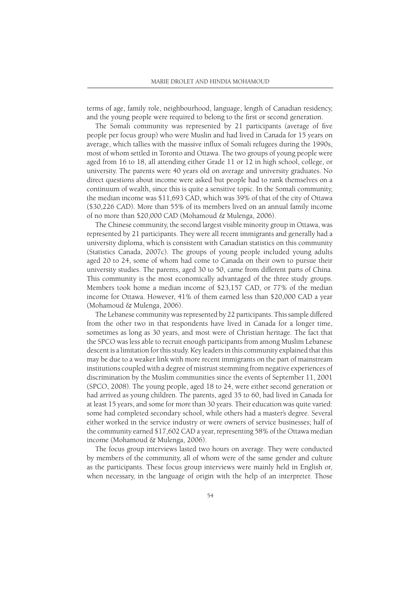terms of age, family role, neighbourhood, language, length of Canadian residency, and the young people were required to belong to the first or second generation.

The Somali community was represented by 21 participants (average of five people per focus group) who were Muslin and had lived in Canada for 15 years on average, which tallies with the massive influx of Somali refugees during the 1990s, most of whom settled in Toronto and Ottawa. The two groups of young people were aged from 16 to 18, all attending either Grade 11 or 12 in high school, college, or university. The parents were 40 years old on average and university graduates. No direct questions about income were asked but people had to rank themselves on a continuum of wealth, since this is quite a sensitive topic. In the Somali community, the median income was \$11,693 CAD, which was 39% of that of the city of Ottawa (\$30,226 CAD). More than 55% of its members lived on an annual family income of no more than \$20,000 CAD (Mohamoud & Mulenga, 2006).

The Chinese community, the second largest visible minority group in Ottawa, was represented by 21 participants. They were all recent immigrants and generally had a university diploma, which is consistent with Canadian statistics on this community (Statistics Canada, 2007c). The groups of young people included young adults aged 20 to 24, some of whom had come to Canada on their own to pursue their university studies. The parents, aged 30 to 50, came from different parts of China. This community is the most economically advantaged of the three study groups. Members took home a median income of \$23,157 CAD, or 77% of the median income for Ottawa. However, 41% of them earned less than \$20,000 CAD a year (Mohamoud & Mulenga, 2006).

The Lebanese community was represented by 22 participants. This sample differed from the other two in that respondents have lived in Canada for a longer time, sometimes as long as 30 years, and most were of Christian heritage. The fact that the SPCO was less able to recruit enough participants from among Muslim Lebanese descent is a limitation for this study. Key leaders in this community explained that this may be due to a weaker link with more recent immigrants on the part of mainstream institutions coupled with a degree of mistrust stemming from negative experiences of discrimination by the Muslim communities since the events of September 11, 2001 (SPCO, 2008). The young people, aged 18 to 24, were either second generation or had arrived as young children. The parents, aged 35 to 60, had lived in Canada for at least 15 years, and some for more than 30 years. Their education was quite varied: some had completed secondary school, while others had a master's degree. Several either worked in the service industry or were owners of service businesses; half of the community earned \$17,602 CAD a year, representing 58% of the Ottawa median income (Mohamoud & Mulenga, 2006).

The focus group interviews lasted two hours on average. They were conducted by members of the community, all of whom were of the same gender and culture as the participants. These focus group interviews were mainly held in English or, when necessary, in the language of origin with the help of an interpreter. Those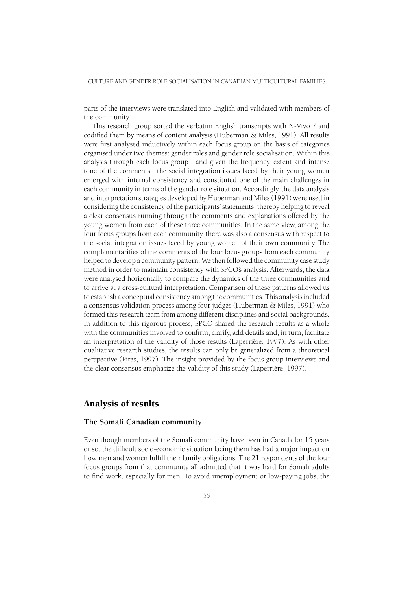parts of the interviews were translated into English and validated with members of the community.

This research group sorted the verbatim English transcripts with N-Vivo 7 and codified them by means of content analysis (Huberman  $\&$  Miles, 1991). All results were first analysed inductively within each focus group on the basis of categories organised under two themes: gender roles and gender role socialisation. Within this analysis through each focus group and given the frequency, extent and intense tone of the comments the social integration issues faced by their young women emerged with internal consistency and constituted one of the main challenges in each community in terms of the gender role situation. Accordingly, the data analysis and interpretation strategies developed by Huberman and Miles (1991) were used in considering the consistency of the participants' statements, thereby helping to reveal a clear consensus running through the comments and explanations offered by the young women from each of these three communities. In the same view, among the four focus groups from each community, there was also a consensus with respect to the social integration issues faced by young women of their own community. The complementarities of the comments of the four focus groups from each community helped to develop a community pattern. We then followed the community case study method in order to maintain consistency with SPCO's analysis. Afterwards, the data were analysed horizontally to compare the dynamics of the three communities and to arrive at a cross-cultural interpretation. Comparison of these patterns allowed us to establish a conceptual consistency among the communities. This analysis included a consensus validation process among four judges (Huberman & Miles, 1991) who formed this research team from among different disciplines and social backgrounds. In addition to this rigorous process, SPCO shared the research results as a whole with the communities involved to confirm, clarify, add details and, in turn, facilitate an interpretation of the validity of those results (Laperrière, 1997). As with other qualitative research studies, the results can only be generalized from a theoretical perspective (Pires, 1997). The insight provided by the focus group interviews and the clear consensus emphasize the validity of this study (Laperrière, 1997).

## Analysis of results

#### **The Somali Canadian community**

Even though members of the Somali community have been in Canada for 15 years or so, the difficult socio-economic situation facing them has had a major impact on how men and women fulfill their family obligations. The 21 respondents of the four focus groups from that community all admitted that it was hard for Somali adults to find work, especially for men. To avoid unemployment or low-paying jobs, the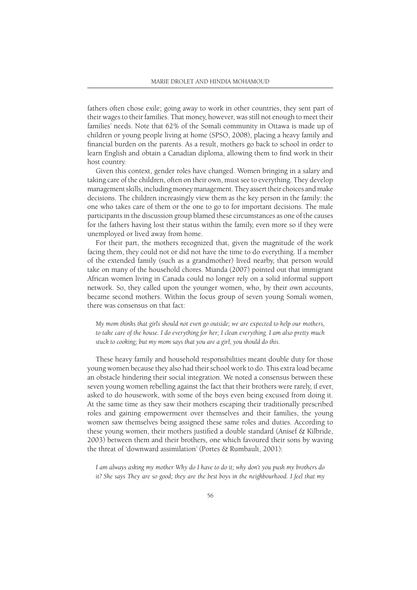fathers often chose exile; going away to work in other countries, they sent part of their wages to their families. That money, however, was still not enough to meet their families' needs. Note that 62% of the Somali community in Ottawa is made up of children or young people living at home (SPSO, 2008), placing a heavy family and financial burden on the parents. As a result, mothers go back to school in order to learn English and obtain a Canadian diploma, allowing them to find work in their host country.

Given this context, gender roles have changed. Women bringing in a salary and taking care of the children, often on their own, must see to everything. They develop management skills, including money management. They assert their choices and make decisions. The children increasingly view them as the key person in the family: the one who takes care of them or the one to go to for important decisions. The male participants in the discussion group blamed these circumstances as one of the causes for the fathers having lost their status within the family, even more so if they were unemployed or lived away from home.

For their part, the mothers recognized that, given the magnitude of the work facing them, they could not or did not have the time to do everything. If a member of the extended family (such as a grandmother) lived nearby, that person would take on many of the household chores. Mianda (2007) pointed out that immigrant African women living in Canada could no longer rely on a solid informal support network. So, they called upon the younger women, who, by their own accounts, became second mothers. Within the focus group of seven young Somali women, there was consensus on that fact:

*My mom thinks that girls should not even go outside; we are expected to help our mothers, to take care of the house. I do everything for her; I clean everything. I am also pretty much stuck to cooking; but my mom says that you are a girl, you should do this.*

These heavy family and household responsibilities meant double duty for those young women because they also had their school work to do. This extra load became an obstacle hindering their social integration. We noted a consensus between these seven young women rebelling against the fact that their brothers were rarely, if ever, asked to do housework, with some of the boys even being excused from doing it. At the same time as they saw their mothers escaping their traditionally prescribed roles and gaining empowerment over themselves and their families, the young women saw themselves being assigned these same roles and duties. According to these young women, their mothers justified a double standard (Anisef  $\&$  Kilbride, 2003) between them and their brothers, one which favoured their sons by waving the threat of 'downward assimilation' (Portes & Rumbault, 2001):

*I am always asking my mother Why do I have to do it; why don't you push my brothers do it? She says They are so good; they are the best boys in the neighbourhood. I feel that my*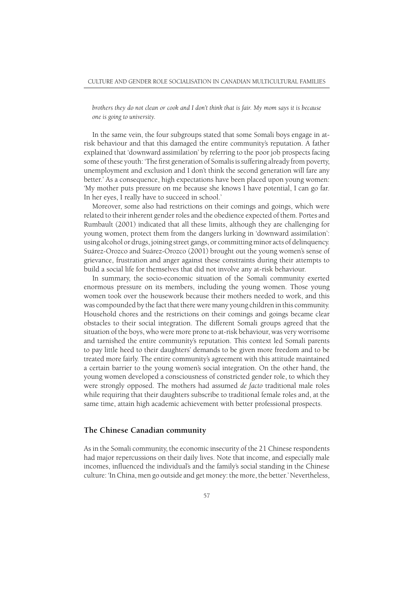*brothers they do not clean or cook and I don't think that is fair. My mom says it is because one is going to university.*

In the same vein, the four subgroups stated that some Somali boys engage in atrisk behaviour and that this damaged the entire community's reputation. A father explained that 'downward assimilation' by referring to the poor job prospects facing some of these youth: 'The first generation of Somalis is suffering already from poverty, unemployment and exclusion and I don't think the second generation will fare any better.' As a consequence, high expectations have been placed upon young women: 'My mother puts pressure on me because she knows I have potential, I can go far. In her eyes, I really have to succeed in school.'

Moreover, some also had restrictions on their comings and goings, which were related to their inherent gender roles and the obedience expected of them. Portes and Rumbault (2001) indicated that all these limits, although they are challenging for young women, protect them from the dangers lurking in 'downward assimilation': using alcohol or drugs, joining street gangs, or committing minor acts of delinquency. Suárez-Orozco and Suárez-Orozco (2001) brought out the young women's sense of grievance, frustration and anger against these constraints during their attempts to build a social life for themselves that did not involve any at-risk behaviour.

In summary, the socio-economic situation of the Somali community exerted enormous pressure on its members, including the young women. Those young women took over the housework because their mothers needed to work, and this was compounded by the fact that there were many young children in this community. Household chores and the restrictions on their comings and goings became clear obstacles to their social integration. The different Somali groups agreed that the situation of the boys, who were more prone to at-risk behaviour, was very worrisome and tarnished the entire community's reputation. This context led Somali parents to pay little heed to their daughters' demands to be given more freedom and to be treated more fairly. The entire community's agreement with this attitude maintained a certain barrier to the young women's social integration. On the other hand, the young women developed a consciousness of constricted gender role, to which they were strongly opposed. The mothers had assumed *de facto* traditional male roles while requiring that their daughters subscribe to traditional female roles and, at the same time, attain high academic achievement with better professional prospects.

#### **The Chinese Canadian community**

As in the Somali community, the economic insecurity of the 21 Chinese respondents had major repercussions on their daily lives. Note that income, and especially male incomes, influenced the individual's and the family's social standing in the Chinese culture: 'In China, men go outside and get money: the more, the better.' Nevertheless,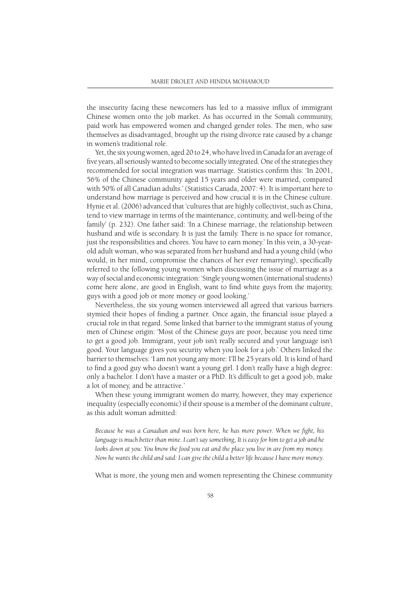the insecurity facing these newcomers has led to a massive influx of immigrant Chinese women onto the job market. As has occurred in the Somali community, paid work has empowered women and changed gender roles. The men, who saw themselves as disadvantaged, brought up the rising divorce rate caused by a change in women's traditional role.

Yet, the six young women, aged 20 to 24, who have lived in Canada for an average of five years, all seriously wanted to become socially integrated. One of the strategies they recommended for social integration was marriage. Statistics confirm this: 'In 2001, 56% of the Chinese community aged 15 years and older were married, compared with 50% of all Canadian adults.' (Statistics Canada, 2007: 4). It is important here to understand how marriage is perceived and how crucial it is in the Chinese culture. Hynie et al. (2006) advanced that 'cultures that are highly collectivist, such as China, tend to view marriage in terms of the maintenance, continuity, and well-being of the family' (p. 232). One father said: 'In a Chinese marriage, the relationship between husband and wife is secondary. It is just the family. There is no space for romance, just the responsibilities and chores. You have to earn money.' In this vein, a 30-yearold adult woman, who was separated from her husband and had a young child (who would, in her mind, compromise the chances of her ever remarrying), specifically referred to the following young women when discussing the issue of marriage as a way of social and economic integration: 'Single young women (international students) come here alone, are good in English, want to find white guys from the majority, guys with a good job or more money or good looking.'

Nevertheless, the six young women interviewed all agreed that various barriers stymied their hopes of finding a partner. Once again, the financial issue played a crucial role in that regard. Some linked that barrier to the immigrant status of young men of Chinese origin: 'Most of the Chinese guys are poor, because you need time to get a good job. Immigrant, your job isn't really secured and your language isn't good. Your language gives you security when you look for a job.' Others linked the barrier to themselves: 'I am not young any more: I'll be 25 years old. It is kind of hard to find a good guy who doesn't want a young girl. I don't really have a high degree: only a bachelor. I don't have a master or a PhD. It's difficult to get a good job, make a lot of money, and be attractive.'

When these young immigrant women do marry, however, they may experience inequality (especially economic) if their spouse is a member of the dominant culture, as this adult woman admitted:

Because he was a Canadian and was born here, he has more power. When we fight, his *language is much better than mine. I can't say something, It is easy for him to get a job and he looks down at you: You know the food you eat and the place you live in are from my money. Now he wants the child and said: I can give the child a better life because I have more money.*

What is more, the young men and women representing the Chinese community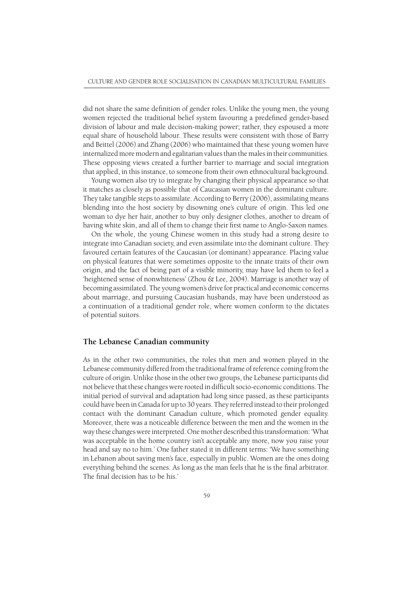did not share the same definition of gender roles. Unlike the young men, the young women rejected the traditional belief system favouring a predefined gender-based division of labour and male decision-making power; rather, they espoused a more equal share of household labour. These results were consistent with those of Barry and Beittel (2006) and Zhang (2006) who maintained that these young women have internalized more modern and egalitarian values than the males in their communities. These opposing views created a further barrier to marriage and social integration that applied, in this instance, to someone from their own ethnocultural background.

Young women also try to integrate by changing their physical appearance so that it matches as closely as possible that of Caucasian women in the dominant culture. They take tangible steps to assimilate. According to Berry (2006), assimilating means blending into the host society by disowning one's culture of origin. This led one woman to dye her hair, another to buy only designer clothes, another to dream of having white skin, and all of them to change their first name to Anglo-Saxon names.

On the whole, the young Chinese women in this study had a strong desire to integrate into Canadian society, and even assimilate into the dominant culture. They favoured certain features of the Caucasian (or dominant) appearance. Placing value on physical features that were sometimes opposite to the innate traits of their own origin, and the fact of being part of a visible minority, may have led them to feel a 'heightened sense of nonwhiteness' (Zhou & Lee, 2004). Marriage is another way of becoming assimilated. The young women's drive for practical and economic concerns about marriage, and pursuing Caucasian husbands, may have been understood as a continuation of a traditional gender role, where women conform to the dictates of potential suitors.

#### **The Lebanese Canadian community**

As in the other two communities, the roles that men and women played in the Lebanese community differed from the traditional frame of reference coming from the culture of origin. Unlike those in the other two groups, the Lebanese participants did not believe that these changes were rooted in difficult socio-economic conditions. The initial period of survival and adaptation had long since passed, as these participants could have been in Canada for up to 30 years. They referred instead to their prolonged contact with the dominant Canadian culture, which promoted gender equality. Moreover, there was a noticeable difference between the men and the women in the way these changes were interpreted. One mother described this transformation: 'What was acceptable in the home country isn't acceptable any more, now you raise your head and say no to him.' One father stated it in different terms: 'We have something in Lebanon about saving men's face, especially in public. Women are the ones doing everything behind the scenes. As long as the man feels that he is the final arbitrator. The final decision has to be his.'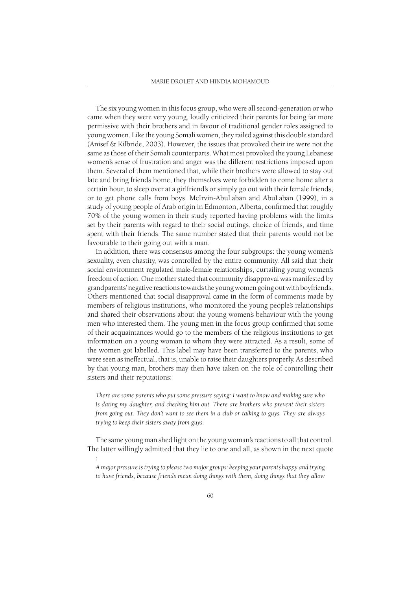The six young women in this focus group, who were all second-generation or who came when they were very young, loudly criticized their parents for being far more permissive with their brothers and in favour of traditional gender roles assigned to young women. Like the young Somali women, they railed against this double standard (Anisef & Kilbride, 2003). However, the issues that provoked their ire were not the same as those of their Somali counterparts. What most provoked the young Lebanese women's sense of frustration and anger was the different restrictions imposed upon them. Several of them mentioned that, while their brothers were allowed to stay out late and bring friends home, they themselves were forbidden to come home after a certain hour, to sleep over at a girlfriend's or simply go out with their female friends, or to get phone calls from boys. McIrvin-AbuLaban and AbuLaban (1999), in a study of young people of Arab origin in Edmonton, Alberta, confirmed that roughly 70% of the young women in their study reported having problems with the limits set by their parents with regard to their social outings, choice of friends, and time spent with their friends. The same number stated that their parents would not be favourable to their going out with a man.

In addition, there was consensus among the four subgroups: the young women's sexuality, even chastity, was controlled by the entire community. All said that their social environment regulated male-female relationships, curtailing young women's freedom of action. One mother stated that community disapproval was manifested by grandparents' negative reactions towards the young women going out with boyfriends. Others mentioned that social disapproval came in the form of comments made by members of religious institutions, who monitored the young people's relationships and shared their observations about the young women's behaviour with the young men who interested them. The young men in the focus group confirmed that some of their acquaintances would go to the members of the religious institutions to get information on a young woman to whom they were attracted. As a result, some of the women got labelled. This label may have been transferred to the parents, who were seen as ineffectual, that is, unable to raise their daughters properly. As described by that young man, brothers may then have taken on the role of controlling their sisters and their reputations:

*There are some parents who put some pressure saying: I want to know and making sure who*  is dating my daughter, and checking him out. There are brothers who prevent their sisters *from going out. They don't want to see them in a club or talking to guys. They are always trying to keep their sisters away from guys.*

The same young man shed light on the young woman's reactions to all that control. The latter willingly admitted that they lie to one and all, as shown in the next quote

:

*A major pressure is trying to please two major groups: keeping your parents happy and trying to have friends, because friends mean doing things with them, doing things that they allow*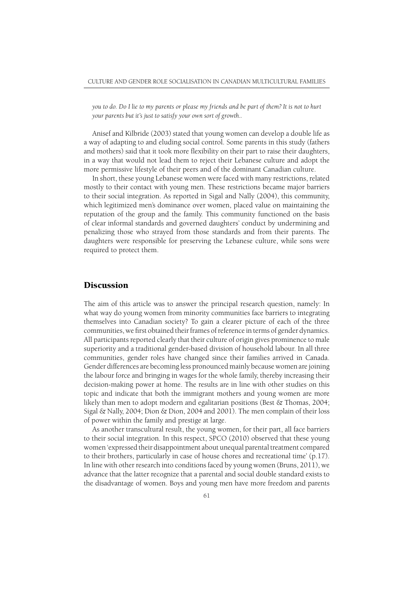*you to do. Do I lie to my parents or please my friends and be part of them? It is not to hurt your parents but it's just to satisfy your own sort of growth..*

Anisef and Kilbride (2003) stated that young women can develop a double life as a way of adapting to and eluding social control. Some parents in this study (fathers and mothers) said that it took more flexibility on their part to raise their daughters, in a way that would not lead them to reject their Lebanese culture and adopt the more permissive lifestyle of their peers and of the dominant Canadian culture.

In short, these young Lebanese women were faced with many restrictions, related mostly to their contact with young men. These restrictions became major barriers to their social integration. As reported in Sigal and Nally (2004), this community, which legitimized men's dominance over women, placed value on maintaining the reputation of the group and the family. This community functioned on the basis of clear informal standards and governed daughters' conduct by undermining and penalizing those who strayed from those standards and from their parents. The daughters were responsible for preserving the Lebanese culture, while sons were required to protect them.

## **Discussion**

The aim of this article was to answer the principal research question, namely: In what way do young women from minority communities face barriers to integrating themselves into Canadian society? To gain a clearer picture of each of the three communities, we first obtained their frames of reference in terms of gender dynamics. All participants reported clearly that their culture of origin gives prominence to male superiority and a traditional gender-based division of household labour. In all three communities, gender roles have changed since their families arrived in Canada. Gender differences are becoming less pronounced mainly because women are joining the labour force and bringing in wages for the whole family, thereby increasing their decision-making power at home. The results are in line with other studies on this topic and indicate that both the immigrant mothers and young women are more likely than men to adopt modern and egalitarian positions (Best & Thomas, 2004; Sigal & Nally, 2004; Dion & Dion, 2004 and 2001). The men complain of their loss of power within the family and prestige at large.

As another transcultural result, the young women, for their part, all face barriers to their social integration. In this respect, SPCO (2010) observed that these young women 'expressed their disappointment about unequal parental treatment compared to their brothers, particularly in case of house chores and recreational time' (p.17). In line with other research into conditions faced by young women (Bruns, 2011), we advance that the latter recognize that a parental and social double standard exists to the disadvantage of women. Boys and young men have more freedom and parents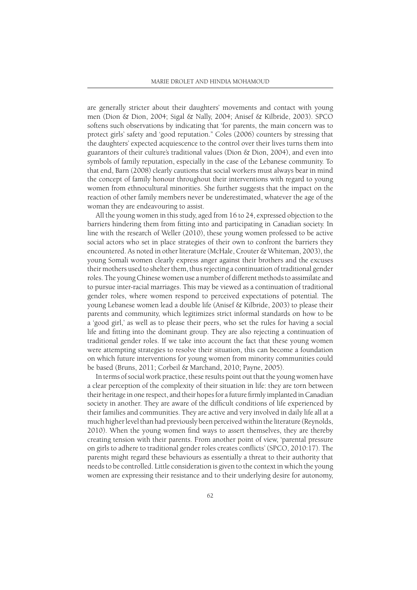are generally stricter about their daughters' movements and contact with young men (Dion & Dion, 2004; Sigal & Nally, 2004; Anisef & Kilbride, 2003). SPCO softens such observations by indicating that 'for parents, the main concern was to protect girls' safety and 'good reputation.'' Coles (2006) counters by stressing that the daughters' expected acquiescence to the control over their lives turns them into guarantors of their culture's traditional values (Dion & Dion, 2004), and even into symbols of family reputation, especially in the case of the Lebanese community. To that end, Barn (2008) clearly cautions that social workers must always bear in mind the concept of family honour throughout their interventions with regard to young women from ethnocultural minorities. She further suggests that the impact on the reaction of other family members never be underestimated, whatever the age of the woman they are endeavouring to assist.

All the young women in this study, aged from 16 to 24, expressed objection to the barriers hindering them from fitting into and participating in Canadian society. In line with the research of Weller (2010), these young women professed to be active social actors who set in place strategies of their own to confront the barriers they encountered. As noted in other literature (McHale, Crouter & Whiteman, 2003), the young Somali women clearly express anger against their brothers and the excuses their mothers used to shelter them, thus rejecting a continuation of traditional gender roles. The young Chinese women use a number of different methods to assimilate and to pursue inter-racial marriages. This may be viewed as a continuation of traditional gender roles, where women respond to perceived expectations of potential. The young Lebanese women lead a double life (Anisef & Kilbride, 2003) to please their parents and community, which legitimizes strict informal standards on how to be a 'good girl,' as well as to please their peers, who set the rules for having a social life and fitting into the dominant group. They are also rejecting a continuation of traditional gender roles. If we take into account the fact that these young women were attempting strategies to resolve their situation, this can become a foundation on which future interventions for young women from minority communities could be based (Bruns, 2011; Corbeil & Marchand, 2010; Payne, 2005).

In terms of social work practice, these results point out that the young women have a clear perception of the complexity of their situation in life: they are torn between their heritage in one respect, and their hopes for a future firmly implanted in Canadian society in another. They are aware of the difficult conditions of life experienced by their families and communities. They are active and very involved in daily life all at a much higher level than had previously been perceived within the literature (Reynolds, 2010). When the young women find ways to assert themselves, they are thereby creating tension with their parents. From another point of view, 'parental pressure on girls to adhere to traditional gender roles creates conflicts' (SPCO, 2010:17). The parents might regard these behaviours as essentially a threat to their authority that needs to be controlled. Little consideration is given to the context in which the young women are expressing their resistance and to their underlying desire for autonomy,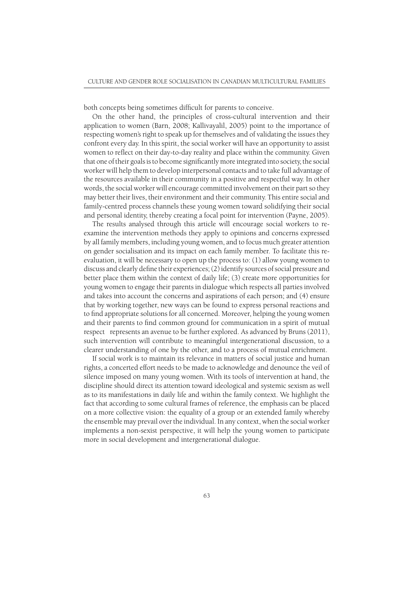both concepts being sometimes difficult for parents to conceive.

On the other hand, the principles of cross-cultural intervention and their application to women (Barn, 2008; Kallivayalil, 2005) point to the importance of respecting women's right to speak up for themselves and of validating the issues they confront every day. In this spirit, the social worker will have an opportunity to assist women to reflect on their day-to-day reality and place within the community. Given that one of their goals is to become significantly more integrated into society, the social worker will help them to develop interpersonal contacts and to take full advantage of the resources available in their community in a positive and respectful way. In other words, the social worker will encourage committed involvement on their part so they may better their lives, their environment and their community. This entire social and family-centred process channels these young women toward solidifying their social and personal identity, thereby creating a focal point for intervention (Payne, 2005).

The results analysed through this article will encourage social workers to reexamine the intervention methods they apply to opinions and concerns expressed by all family members, including young women, and to focus much greater attention on gender socialisation and its impact on each family member. To facilitate this reevaluation, it will be necessary to open up the process to: (1) allow young women to discuss and clearly define their experiences; (2) identify sources of social pressure and better place them within the context of daily life; (3) create more opportunities for young women to engage their parents in dialogue which respects all parties involved and takes into account the concerns and aspirations of each person; and (4) ensure that by working together, new ways can be found to express personal reactions and to find appropriate solutions for all concerned. Moreover, helping the young women and their parents to find common ground for communication in a spirit of mutual respect represents an avenue to be further explored. As advanced by Bruns (2011), such intervention will contribute to meaningful intergenerational discussion, to a clearer understanding of one by the other, and to a process of mutual enrichment.

If social work is to maintain its relevance in matters of social justice and human rights, a concerted effort needs to be made to acknowledge and denounce the veil of silence imposed on many young women. With its tools of intervention at hand, the discipline should direct its attention toward ideological and systemic sexism as well as to its manifestations in daily life and within the family context. We highlight the fact that according to some cultural frames of reference, the emphasis can be placed on a more collective vision: the equality of a group or an extended family whereby the ensemble may prevail over the individual. In any context, when the social worker implements a non-sexist perspective, it will help the young women to participate more in social development and intergenerational dialogue.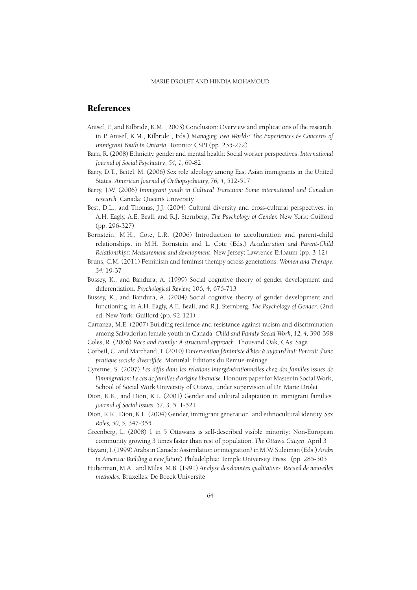## References

- Anisef, P., and Kilbride, K.M. , 2003) Conclusion: Overview and implications of the research. in P. Anisef, K.M., Kilbride , Eds.) *Managing Two Worlds: The Experiences & Concerns of Immigrant Youth in Ontario*. Toronto: CSPI (pp. 235-272)
- Barn, R. (2008) Ethnicity, gender and mental health: Social worker perspectives. *International Journal of Social Psychiatry*, *54, 1,* 69-82
- Barry, D.T., Beitel, M. (2006) Sex role ideology among East Asian immigrants in the United States. *American Journal of Orthopsychiatry, 76, 4,* 512-517
- Berry, J.W. (2006) *Immigrant youth in Cultural Transition: Some international and Canadian research.* Canada: Queen's University
- Best, D.L., and Thomas, J.J. (2004) Cultural diversity and cross-cultural perspectives. in A.H. Eagly, A.E. Beall, and R.J. Sternberg, *The Psychology of Gender.* New York: Guilford (pp. 296-327)
- Bornstein, M.H., Cote, L.R. (2006) Introduction to acculturation and parent-child relationships. in M.H. Bornstein and L. Cote (Eds.) *Acculturation and Parent-Child Relationships: Measurement and development*. New Jersey: Lawrence Erlbaum (pp. 3-12)
- Bruns, C.M. (2011) Feminism and feminist therapy across generations. *Women and Therapy, 34:* 19-37
- Bussey, K., and Bandura, A. (1999) Social cognitive theory of gender development and differentiation. *Psychological Review,* 106, 4, 676-713
- Bussey, K., and Bandura, A. (2004) Social cognitive theory of gender development and functioning. in A.H. Eagly, A.E. Beall, and R.J. Sternberg, *The Psychology of Gender*. (2nd ed. New York: Guilford (pp. 92-121)
- Carranza, M.E. (2007) Building resilience and resistance against racism and discrimination among Salvadorian female youth in Canada. *Child and Family Social Work*, *12, 4,* 390-398
- Coles, R. (2006) *Race and Family: A structural approach*. Thousand Oak, CAs: Sage
- Corbeil, C. and Marchand, I. (2010*) L'intervention fémimiste d'hier à aujourd'hui: Portrait d'une*  pratique sociale diversifiée. Montréal: Éditions du Remue-ménage
- Cyrenne, S. (2007) Les défis dans les relations intergénérationnelles chez des familles issues de *l'immigration: Le cas de familles d'origine libanaise.* Honours paper for Master in Social Work, School of Social Work University of Ottawa, under supervision of Dr. Marie Drolet
- Dion, K.K., and Dion, K.L. (2001) Gender and cultural adaptation in immigrant families. *Journal of Social Issues, 57, 3,* 511-521
- Dion, K.K., Dion, K.L. (2004) Gender, immigrant generation, and ethnocultural identity. *Sex Roles, 50, 5,* 347-355
- Greenberg, L. (2008) 1 in 5 Ottawans is self-described visible minority: Non-European community growing 3 times faster than rest of population*. The Ottawa Citizen*. April 3
- Hayani, I. (1999) Arabs in Canada: Assimilation or integration? in M.W. Suleiman (Eds.) *Arabs in America: Building a new future*) Philadelphia: Temple University Press *.* (pp. 285-303
- Huberman, M.A., and Miles, M.B. (1991) *Analyse des données qualitatives. Recueil de nouvelles méthodes.* Bruxelles: De Boeck Université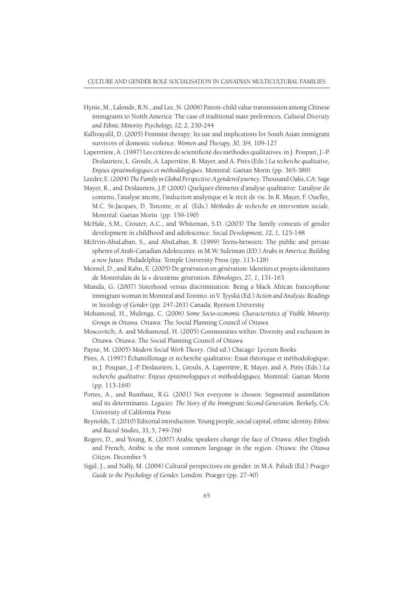- Hynie, M., Lalonde, R.N., and Lee, N. (2006) Parent-child value transmission among Chinese immigrants to North America: The case of traditional mate preferences. *Cultural Diversity and Ethnic Minority Psychology, 12, 2,* 230-244
- Kallivayalil, D. (2005) Feminist therapy: Its use and implications for South Asian immigrant survivors of domestic violence. *Women and Therapy, 30, 3/4,* 109-127
- Laperrrière, A. (1997) Les critères de scientificité des méthodes qualitatives. in J. Poupart, J.-P. Deslauriers, L. Groulx, A. Laperrière, R. Mayer, and A. Pirès (Eds.) *La recherche qualitative, Enjeux épistémologiques et méthodologiques*. Montréal: Gaétan Morin (pp. 365-389)
- Leeder, E. (2004) *The Family in Global Perspective: A gendered journey*. Thousand Oaks, CA: Sage
- Mayer, R., and Deslauriers, J.P. (2000) Quelques éléments d'analyse qualitative: L'analyse de contenu, l'analyse ancrée, l'induction analytique et le récit de vie. In R. Mayer, F. Ouellet, M.C. St-Jacques, D. Turcotte, et al. (Eds.) *Méthodes de recherche en intervention sociale.* Montréal: Gaétan Morin (pp. 159-190)
- McHale, S.M., Crouter, A.C., and Whiteman, S.D. (2003) The family contexts of gender development in childhood and adolescence. *Social Development, 12, 1,* 125-148
- McIrvin-AbuLaban, S., and AbuLaban, B. (1999) Teens-between: The public and private spheres of Arab-Canadian Adolescents. in M.W. Suleiman (ED.) *Arabs in America: Building a new future.* Philadelphia: Temple University Press (pp. 113-128)
- Meintel, D., and Kahn, E. (2005) De génération en génération: Identités et projets identitaires de Montréalais de la « deuxième génération. *Ethnologies, 27, 1,* 131-163
- Mianda, G. (2007) Sisterhood versus discrimination: Being a black African francophone immigrant woman in Montreal and Toronto. in V. Tyyskä (Ed.) *Action and Analysis: Readings in Sociology of Gender* (pp*.* 247-261) Canada: Ryerson University
- Mohamoud, H., Mulenga, C. (2006) *Some Socio-economic Characteristics of Visible Minority Groups in Ottawa.* Ottawa: The Social Planning Council of Ottawa
- Moscovitch, A. and Mohamoud, H. (2005) Communities within: Diversity and exclusion in Ottawa. Ottawa: The Social Planning Council of Ottawa
- Payne, M. (2005) *Modern Social Work Theory*. *(*3rd ed.) Chicago: Lyceum Books
- Pires, A. (1997) Échantillonage et recherche qualitative: Essai théorique et méthodologique. in J. Poupart, J.-P. Deslauriers, L. Groulx, A. Laperrière, R. Mayer, and A. Pirès (Eds.) *La recherche qualitative: Enjeux épistémologiques et méthodologiques.* Montréal: Gaétan Morin (pp. 113-169)
- Portes, A., and Rumbaut, R.G. (2001) Not everyone is chosen: Segmented assimilation and its determinants. *Legacies: The Story of the Immigrant Second Generation.* Berkely, CA: University of California Press
- Reynolds, T. (2010) Editorial introduction. Young people, social capital, ethnic identity. *Ethnic and Racial Studies, 33, 5,* 749-760
- Rogers, D., and Young, K. (2007) Arabic speakers change the face of Ottawa: After English and French, Arabic is the most common language in the region. Ottawa: the *Ottawa Citizen*. December 5
- Sigal, J., and Nally, M. (2004) Cultural perspectives on gender. in M.A. Paludi (Ed.) *Praeger Guide to the Psychology of Gender.* London: Praeger (pp. 27-40)